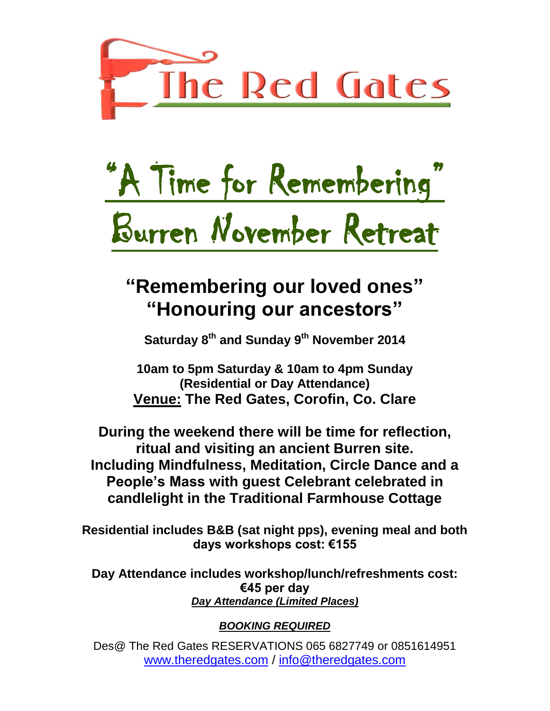

# "A Time for Remembering" Burren November Retreat

## **"Remembering our loved ones" "Honouring our ancestors"**

**Saturday 8 th and Sunday 9 th November 2014**

**10am to 5pm Saturday & 10am to 4pm Sunday (Residential or Day Attendance) Venue: The Red Gates, Corofin, Co. Clare**

**During the weekend there will be time for reflection, ritual and visiting an ancient Burren site. Including Mindfulness, Meditation, Circle Dance and a People's Mass with guest Celebrant celebrated in candlelight in the Traditional Farmhouse Cottage**

**Residential includes B&B (sat night pps), evening meal and both days workshops cost: €155** 

**Day Attendance includes workshop/lunch/refreshments cost: €45 per day** *Day Attendance (Limited Places)*

### *BOOKING REQUIRED*

Des@ The Red Gates RESERVATIONS 065 6827749 or 0851614951 www.theredgates.com / info@theredgates.com